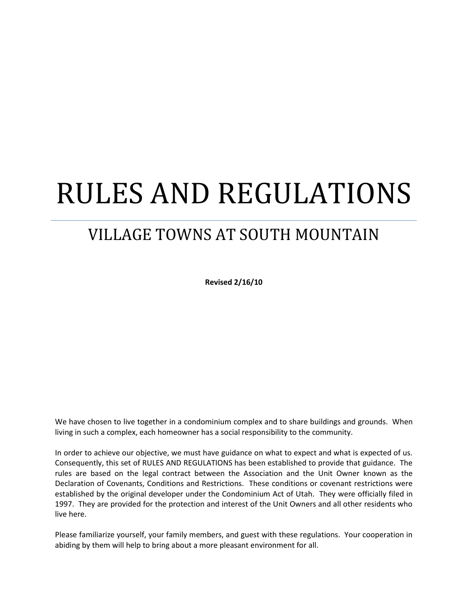# RULES AND REGULATIONS

## VILLAGE TOWNS AT SOUTH MOUNTAIN

**Revised 2/16/10**

We have chosen to live together in a condominium complex and to share buildings and grounds. When living in such a complex, each homeowner has a social responsibility to the community.

In order to achieve our objective, we must have guidance on what to expect and what is expected of us. Consequently, this set of RULES AND REGULATIONS has been established to provide that guidance. The rules are based on the legal contract between the Association and the Unit Owner known as the Declaration of Covenants, Conditions and Restrictions. These conditions or covenant restrictions were established by the original developer under the Condominium Act of Utah. They were officially filed in 1997. They are provided for the protection and interest of the Unit Owners and all other residents who live here.

Please familiarize yourself, your family members, and guest with these regulations. Your cooperation in abiding by them will help to bring about a more pleasant environment for all.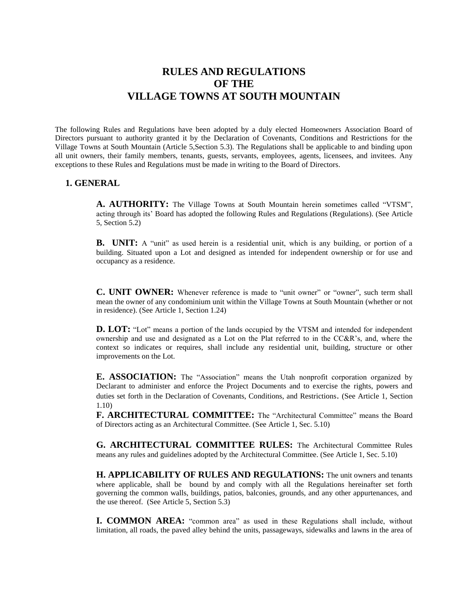### **RULES AND REGULATIONS OF THE VILLAGE TOWNS AT SOUTH MOUNTAIN**

The following Rules and Regulations have been adopted by a duly elected Homeowners Association Board of Directors pursuant to authority granted it by the Declaration of Covenants, Conditions and Restrictions for the Village Towns at South Mountain (Article 5,Section 5.3). The Regulations shall be applicable to and binding upon all unit owners, their family members, tenants, guests, servants, employees, agents, licensees, and invitees. Any exceptions to these Rules and Regulations must be made in writing to the Board of Directors.

#### **1. GENERAL**

**A. AUTHORITY:** The Village Towns at South Mountain herein sometimes called "VTSM", acting through its' Board has adopted the following Rules and Regulations (Regulations). (See Article 5, Section 5.2)

**B. UNIT:** A "unit" as used herein is a residential unit, which is any building, or portion of a building. Situated upon a Lot and designed as intended for independent ownership or for use and occupancy as a residence.

**C. UNIT OWNER:** Whenever reference is made to "unit owner" or "owner", such term shall mean the owner of any condominium unit within the Village Towns at South Mountain (whether or not in residence). (See Article 1, Section 1.24)

**D. LOT:** "Lot" means a portion of the lands occupied by the VTSM and intended for independent ownership and use and designated as a Lot on the Plat referred to in the CC&R's, and, where the context so indicates or requires, shall include any residential unit, building, structure or other improvements on the Lot.

**E. ASSOCIATION:** The "Association" means the Utah nonprofit corporation organized by Declarant to administer and enforce the Project Documents and to exercise the rights, powers and duties set forth in the Declaration of Covenants, Conditions, and Restrictions. (See Article 1, Section 1.10)

**F. ARCHITECTURAL COMMITTEE:** The "Architectural Committee" means the Board of Directors acting as an Architectural Committee. (See Article 1, Sec. 5.10)

**G. ARCHITECTURAL COMMITTEE RULES:** The Architectural Committee Rules means any rules and guidelines adopted by the Architectural Committee. (See Article 1, Sec. 5.10)

**H. APPLICABILITY OF RULES AND REGULATIONS:** The unit owners and tenants where applicable, shall be bound by and comply with all the Regulations hereinafter set forth governing the common walls, buildings, patios, balconies, grounds, and any other appurtenances, and the use thereof. (See Article 5, Section 5.3)

**I. COMMON AREA:** "common area" as used in these Regulations shall include, without limitation, all roads, the paved alley behind the units, passageways, sidewalks and lawns in the area of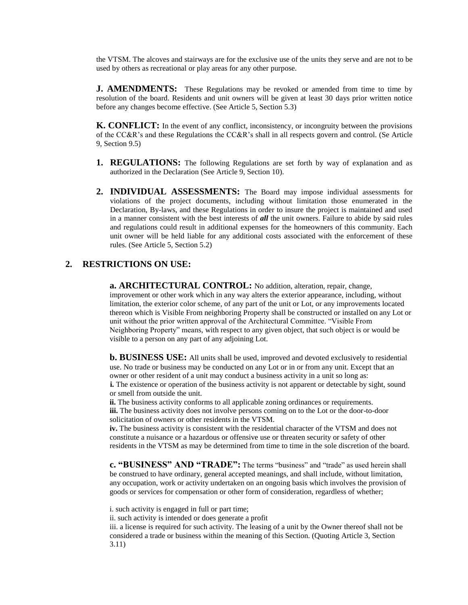the VTSM. The alcoves and stairways are for the exclusive use of the units they serve and are not to be used by others as recreational or play areas for any other purpose.

**J. AMENDMENTS:** These Regulations may be revoked or amended from time to time by resolution of the board. Residents and unit owners will be given at least 30 days prior written notice before any changes become effective. (See Article 5, Section 5.3)

**K. CONFLICT:** In the event of any conflict, inconsistency, or incongruity between the provisions of the CC&R's and these Regulations the CC&R's shall in all respects govern and control. (Se Article 9, Section 9.5)

- **1. REGULATIONS:** The following Regulations are set forth by way of explanation and as authorized in the Declaration (See Article 9, Section 10).
- **2. INDIVIDUAL ASSESSMENTS:** The Board may impose individual assessments for violations of the project documents, including without limitation those enumerated in the Declaration, By-laws, and these Regulations in order to insure the project is maintained and used in a manner consistent with the best interests of *all* the unit owners. Failure to abide by said rules and regulations could result in additional expenses for the homeowners of this community. Each unit owner will be held liable for any additional costs associated with the enforcement of these rules. (See Article 5, Section 5.2)

#### **2. RESTRICTIONS ON USE:**

**a. ARCHITECTURAL CONTROL:** No addition, alteration, repair, change, improvement or other work which in any way alters the exterior appearance, including, without limitation, the exterior color scheme, of any part of the unit or Lot, or any improvements located thereon which is Visible From neighboring Property shall be constructed or installed on any Lot or unit without the prior written approval of the Architectural Committee. "Visible From Neighboring Property" means, with respect to any given object, that such object is or would be visible to a person on any part of any adjoining Lot.

**b. BUSINESS USE:** All units shall be used, improved and devoted exclusively to residential use. No trade or business may be conducted on any Lot or in or from any unit. Except that an owner or other resident of a unit may conduct a business activity in a unit so long as: **i.** The existence or operation of the business activity is not apparent or detectable by sight, sound or smell from outside the unit.

**ii.** The business activity conforms to all applicable zoning ordinances or requirements. **iii.** The business activity does not involve persons coming on to the Lot or the door-to-door solicitation of owners or other residents in the VTSM.

**iv.** The business activity is consistent with the residential character of the VTSM and does not constitute a nuisance or a hazardous or offensive use or threaten security or safety of other residents in the VTSM as may be determined from time to time in the sole discretion of the board.

**c. "BUSINESS" AND "TRADE":** The terms "business" and "trade" as used herein shall be construed to have ordinary, general accepted meanings, and shall include, without limitation, any occupation, work or activity undertaken on an ongoing basis which involves the provision of goods or services for compensation or other form of consideration, regardless of whether;

i. such activity is engaged in full or part time;

ii. such activity is intended or does generate a profit

iii. a license is required for such activity. The leasing of a unit by the Owner thereof shall not be considered a trade or business within the meaning of this Section. (Quoting Article 3, Section 3.11)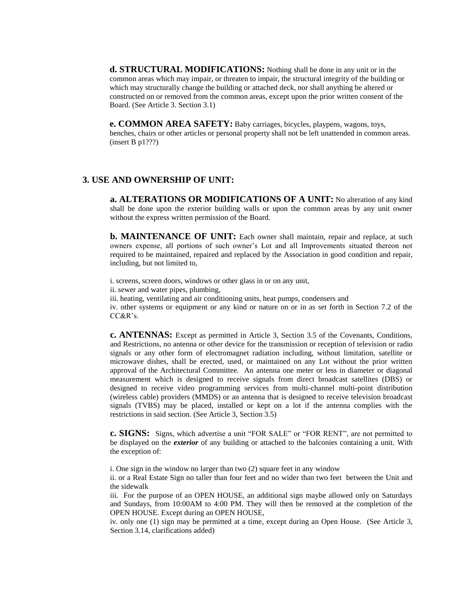**d. STRUCTURAL MODIFICATIONS:** Nothing shall be done in any unit or in the common areas which may impair, or threaten to impair, the structural integrity of the building or which may structurally change the building or attached deck, nor shall anything be altered or constructed on or removed from the common areas, except upon the prior written consent of the Board. (See Article 3. Section 3.1)

**e. COMMON AREA SAFETY:** Baby carriages, bicycles, playpens, wagons, toys, benches, chairs or other articles or personal property shall not be left unattended in common areas. (insert B p1???)

#### **3. USE AND OWNERSHIP OF UNIT:**

**a. ALTERATIONS OR MODIFICATIONS OF A UNIT:** No alteration of any kind shall be done upon the exterior building walls or upon the common areas by any unit owner without the express written permission of the Board.

**b. MAINTENANCE OF UNIT:** Each owner shall maintain, repair and replace, at such owners expense, all portions of such owner's Lot and all Improvements situated thereon not required to be maintained, repaired and replaced by the Association in good condition and repair, including, but not limited to,

i. screens, screen doors, windows or other glass in or on any unit,

ii. sewer and water pipes, plumbing,

iii. heating, ventilating and air conditioning units, heat pumps, condensers and

iv. other systems or equipment or any kind or nature on or in as set forth in Section 7.2 of the CC&R's.

**c. ANTENNAS:** Except as permitted in Article 3, Section 3.5 of the Covenants, Conditions, and Restrictions, no antenna or other device for the transmission or reception of television or radio signals or any other form of electromagnet radiation including, without limitation, satellite or microwave dishes, shall be erected, used, or maintained on any Lot without the prior written approval of the Architectural Committee. An antenna one meter or less in diameter or diagonal measurement which is designed to receive signals from direct broadcast satellites (DBS) or designed to receive video programming services from multi-channel multi-point distribution (wireless cable) providers (MMDS) or an antenna that is designed to receive television broadcast signals (TVBS) may be placed, installed or kept on a lot if the antenna complies with the restrictions in said section. (See Article 3, Section 3.5)

**c. SIGNS:** Signs, which advertise a unit "FOR SALE" or "FOR RENT", are not permitted to be displayed on the *exterior* of any building or attached to the balconies containing a unit. With the exception of:

i. One sign in the window no larger than two (2) square feet in any window

ii. or a Real Estate Sign no taller than four feet and no wider than two feet between the Unit and the sidewalk

iii. For the purpose of an OPEN HOUSE, an additional sign maybe allowed only on Saturdays and Sundays, from 10:00AM to 4:00 PM. They will then be removed at the completion of the OPEN HOUSE. Except during an OPEN HOUSE,

iv. only one (1) sign may be permitted at a time, except during an Open House. (See Article 3, Section 3.14, clarifications added)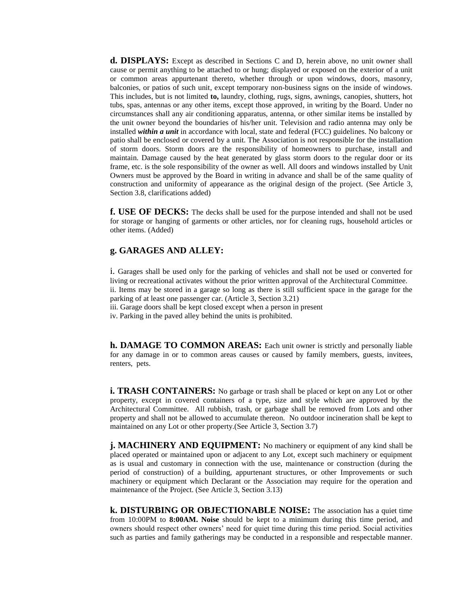**d. DISPLAYS:** Except as described in Sections C and D, herein above, no unit owner shall cause or permit anything to be attached to or hung; displayed or exposed on the exterior of a unit or common areas appurtenant thereto, whether through or upon windows, doors, masonry, balconies, or patios of such unit, except temporary non-business signs on the inside of windows. This includes, but is not limited **to,** laundry, clothing, rugs, signs, awnings, canopies, shutters, hot tubs, spas, antennas or any other items, except those approved, in writing by the Board. Under no circumstances shall any air conditioning apparatus, antenna, or other similar items be installed by the unit owner beyond the boundaries of his/her unit. Television and radio antenna may only be installed *within a unit* in accordance with local, state and federal (FCC) guidelines. No balcony or patio shall be enclosed or covered by a unit. The Association is not responsible for the installation of storm doors. Storm doors are the responsibility of homeowners to purchase, install and maintain. Damage caused by the heat generated by glass storm doors to the regular door or its frame, etc. is the sole responsibility of the owner as well. All doors and windows installed by Unit Owners must be approved by the Board in writing in advance and shall be of the same quality of construction and uniformity of appearance as the original design of the project. (See Article 3, Section 3.8, clarifications added)

**f. USE OF DECKS:** The decks shall be used for the purpose intended and shall not be used for storage or hanging of garments or other articles, nor for cleaning rugs, household articles or other items. (Added)

#### **g. GARAGES AND ALLEY:**

i. Garages shall be used only for the parking of vehicles and shall not be used or converted for living or recreational activates without the prior written approval of the Architectural Committee. ii. Items may be stored in a garage so long as there is still sufficient space in the garage for the parking of at least one passenger car. (Article 3, Section 3.21)

iii. Garage doors shall be kept closed except when a person in present

iv. Parking in the paved alley behind the units is prohibited.

**h. DAMAGE TO COMMON AREAS:** Each unit owner is strictly and personally liable for any damage in or to common areas causes or caused by family members, guests, invitees, renters, pets.

**i. TRASH CONTAINERS:** No garbage or trash shall be placed or kept on any Lot or other property, except in covered containers of a type, size and style which are approved by the Architectural Committee. All rubbish, trash, or garbage shall be removed from Lots and other property and shall not be allowed to accumulate thereon. No outdoor incineration shall be kept to maintained on any Lot or other property.(See Article 3, Section 3.7)

**j. MACHINERY AND EQUIPMENT:** No machinery or equipment of any kind shall be placed operated or maintained upon or adjacent to any Lot, except such machinery or equipment as is usual and customary in connection with the use, maintenance or construction (during the period of construction) of a building, appurtenant structures, or other Improvements or such machinery or equipment which Declarant or the Association may require for the operation and maintenance of the Project. (See Article 3, Section 3.13)

**k. DISTURBING OR OBJECTIONABLE NOISE:** The association has a quiet time from 10:00PM to **8:00AM. Noise** should be kept to a minimum during this time period, and owners should respect other owners' need for quiet time during this time period. Social activities such as parties and family gatherings may be conducted in a responsible and respectable manner.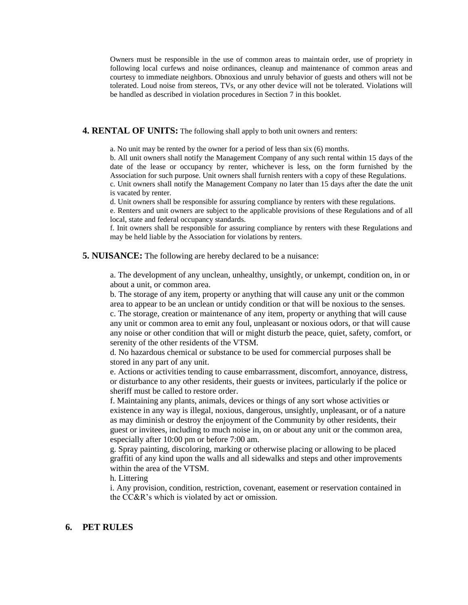Owners must be responsible in the use of common areas to maintain order, use of propriety in following local curfews and noise ordinances, cleanup and maintenance of common areas and courtesy to immediate neighbors. Obnoxious and unruly behavior of guests and others will not be tolerated. Loud noise from stereos, TVs, or any other device will not be tolerated. Violations will be handled as described in violation procedures in Section 7 in this booklet.

#### **4. RENTAL OF UNITS:** The following shall apply to both unit owners and renters:

a. No unit may be rented by the owner for a period of less than six (6) months.

b. All unit owners shall notify the Management Company of any such rental within 15 days of the date of the lease or occupancy by renter, whichever is less, on the form furnished by the Association for such purpose. Unit owners shall furnish renters with a copy of these Regulations.

c. Unit owners shall notify the Management Company no later than 15 days after the date the unit is vacated by renter.

d. Unit owners shall be responsible for assuring compliance by renters with these regulations.

e. Renters and unit owners are subject to the applicable provisions of these Regulations and of all local, state and federal occupancy standards.

f. Init owners shall be responsible for assuring compliance by renters with these Regulations and may be held liable by the Association for violations by renters.

**5. NUISANCE:** The following are hereby declared to be a nuisance:

a. The development of any unclean, unhealthy, unsightly, or unkempt, condition on, in or about a unit, or common area.

b. The storage of any item, property or anything that will cause any unit or the common area to appear to be an unclean or untidy condition or that will be noxious to the senses. c. The storage, creation or maintenance of any item, property or anything that will cause any unit or common area to emit any foul, unpleasant or noxious odors, or that will cause any noise or other condition that will or might disturb the peace, quiet, safety, comfort, or serenity of the other residents of the VTSM.

d. No hazardous chemical or substance to be used for commercial purposes shall be stored in any part of any unit.

e. Actions or activities tending to cause embarrassment, discomfort, annoyance, distress, or disturbance to any other residents, their guests or invitees, particularly if the police or sheriff must be called to restore order.

f. Maintaining any plants, animals, devices or things of any sort whose activities or existence in any way is illegal, noxious, dangerous, unsightly, unpleasant, or of a nature as may diminish or destroy the enjoyment of the Community by other residents, their guest or invitees, including to much noise in, on or about any unit or the common area, especially after 10:00 pm or before 7:00 am.

g. Spray painting, discoloring, marking or otherwise placing or allowing to be placed graffiti of any kind upon the walls and all sidewalks and steps and other improvements within the area of the VTSM.

h. Littering

i. Any provision, condition, restriction, covenant, easement or reservation contained in the CC&R's which is violated by act or omission.

#### **6. PET RULES**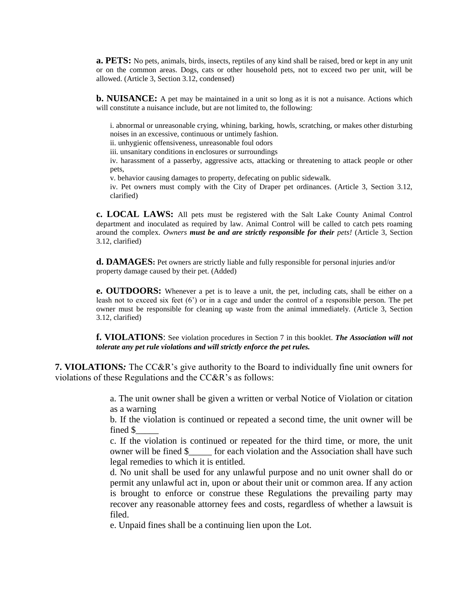**a. PETS:** No pets, animals, birds, insects, reptiles of any kind shall be raised, bred or kept in any unit or on the common areas. Dogs, cats or other household pets, not to exceed two per unit, will be allowed. (Article 3, Section 3.12, condensed)

**b. NUISANCE:** A pet may be maintained in a unit so long as it is not a nuisance. Actions which will constitute a nuisance include, but are not limited to, the following:

i. abnormal or unreasonable crying, whining, barking, howls, scratching, or makes other disturbing noises in an excessive, continuous or untimely fashion.

ii. unhygienic offensiveness, unreasonable foul odors

iii. unsanitary conditions in enclosures or surroundings

iv. harassment of a passerby, aggressive acts, attacking or threatening to attack people or other pets,

v. behavior causing damages to property, defecating on public sidewalk.

iv. Pet owners must comply with the City of Draper pet ordinances. (Article 3, Section 3.12, clarified)

**c. LOCAL LAWS:** All pets must be registered with the Salt Lake County Animal Control department and inoculated as required by law. Animal Control will be called to catch pets roaming around the complex. *Owners must be and are strictly responsible for their pets!* (Article 3, Section 3.12, clarified)

**d. DAMAGES:** Pet owners are strictly liable and fully responsible for personal injuries and/or property damage caused by their pet. (Added)

**e. OUTDOORS:** Whenever a pet is to leave a unit, the pet, including cats, shall be either on a leash not to exceed six feet (6') or in a cage and under the control of a responsible person. The pet owner must be responsible for cleaning up waste from the animal immediately. (Article 3, Section 3.12, clarified)

**f. VIOLATIONS**: See violation procedures in Section 7 in this booklet. *The Association will not tolerate any pet rule violations and will strictly enforce the pet rules.*

**7. VIOLATIONS***:* The CC&R's give authority to the Board to individually fine unit owners for violations of these Regulations and the CC&R's as follows:

> a. The unit owner shall be given a written or verbal Notice of Violation or citation as a warning

> b. If the violation is continued or repeated a second time, the unit owner will be fined \$\_\_\_\_\_

> c. If the violation is continued or repeated for the third time, or more, the unit owner will be fined \$  $\qquad$  for each violation and the Association shall have such legal remedies to which it is entitled.

> d. No unit shall be used for any unlawful purpose and no unit owner shall do or permit any unlawful act in, upon or about their unit or common area. If any action is brought to enforce or construe these Regulations the prevailing party may recover any reasonable attorney fees and costs, regardless of whether a lawsuit is filed.

e. Unpaid fines shall be a continuing lien upon the Lot.